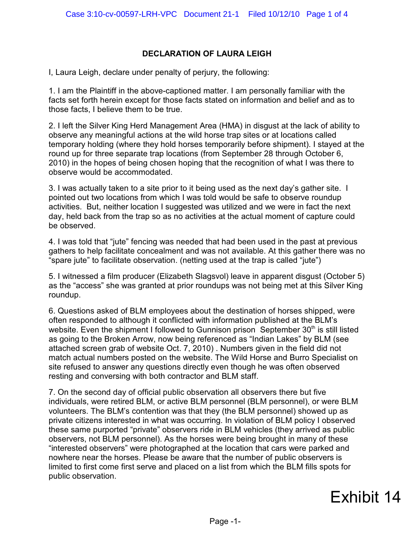## **DECLARATION OF LAURA LEIGH**

I, Laura Leigh, declare under penalty of perjury, the following:

1. I am the Plaintiff in the above-captioned matter. I am personally familiar with the facts set forth herein except for those facts stated on information and belief and as to those facts, I believe them to be true.

2. I left the Silver King Herd Management Area (HMA) in disgust at the lack of ability to observe any meaningful actions at the wild horse trap sites or at locations called temporary holding (where they hold horses temporarily before shipment). I stayed at the round up for three separate trap locations (from September 28 through October 6, 2010) in the hopes of being chosen hoping that the recognition of what I was there to observe would be accommodated.

3. I was actually taken to a site prior to it being used as the next day's gather site. I pointed out two locations from which I was told would be safe to observe roundup activities. But, neither location I suggested was utilized and we were in fact the next day, held back from the trap so as no activities at the actual moment of capture could be observed.

4. I was told that "jute" fencing was needed that had been used in the past at previous gathers to help facilitate concealment and was not available. At this gather there was no "spare jute" to facilitate observation. (netting used at the trap is called "jute")

5. I witnessed a film producer (Elizabeth Slagsvol) leave in apparent disgust (October 5) as the "access" she was granted at prior roundups was not being met at this Silver King roundup.

6. Questions asked of BLM employees about the destination of horses shipped, were often responded to although it conflicted with information published at the BLM's website. Even the shipment I followed to Gunnison prison September 30<sup>th</sup> is still listed as going to the Broken Arrow, now being referenced as "Indian Lakes" by BLM (see attached screen grab of website Oct. 7, 2010) . Numbers given in the field did not match actual numbers posted on the website. The Wild Horse and Burro Specialist on site refused to answer any questions directly even though he was often observed resting and conversing with both contractor and BLM staff.

7. On the second day of official public observation all observers there but five individuals, were retired BLM, or active BLM personnel (BLM personnel), or were BLM volunteers. The BLM's contention was that they (the BLM personnel) showed up as private citizens interested in what was occurring. In violation of BLM policy I observed these same purported "private" observers ride in BLM vehicles (they arrived as public observers, not BLM personnel). As the horses were being brought in many of these "interested observers" were photographed at the location that cars were parked and nowhere near the horses. Please be aware that the number of public observers is limited to first come first serve and placed on a list from which the BLM fills spots for public observation.

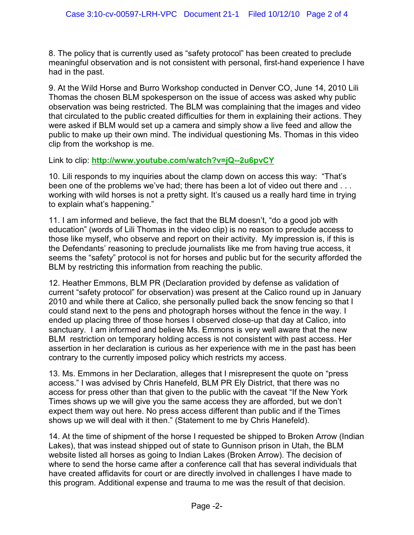8. The policy that is currently used as "safety protocol" has been created to preclude meaningful observation and is not consistent with personal, first-hand experience I have had in the past.

9. At the Wild Horse and Burro Workshop conducted in Denver CO, June 14, 2010 Lili Thomas the chosen BLM spokesperson on the issue of access was asked why public observation was being restricted. The BLM was complaining that the images and video that circulated to the public created difficulties for them in explaining their actions. They were asked if BLM would set up a camera and simply show a live feed and allow the public to make up their own mind. The individual questioning Ms. Thomas in this video clip from the workshop is me.

Link to clip: **<http://www.youtube.com/watch?v=jQ--2u6pvCY>**

10. Lili responds to my inquiries about the clamp down on access this way: "That's been one of the problems we've had; there has been a lot of video out there and . . . working with wild horses is not a pretty sight. It's caused us a really hard time in trying to explain what's happening."

11. I am informed and believe, the fact that the BLM doesn't, "do a good job with education" (words of Lili Thomas in the video clip) is no reason to preclude access to those like myself, who observe and report on their activity. My impression is, if this is the Defendants' reasoning to preclude journalists like me from having true access, it seems the "safety" protocol is not for horses and public but for the security afforded the BLM by restricting this information from reaching the public.

12. Heather Emmons, BLM PR (Declaration provided by defense as validation of current "safety protocol" for observation) was present at the Calico round up in January 2010 and while there at Calico, she personally pulled back the snow fencing so that I could stand next to the pens and photograph horses without the fence in the way. I ended up placing three of those horses I observed close-up that day at Calico, into sanctuary. I am informed and believe Ms. Emmons is very well aware that the new BLM restriction on temporary holding access is not consistent with past access. Her assertion in her declaration is curious as her experience with me in the past has been contrary to the currently imposed policy which restricts my access.

13. Ms. Emmons in her Declaration, alleges that I misrepresent the quote on "press access." I was advised by Chris Hanefeld, BLM PR Ely District, that there was no access for press other than that given to the public with the caveat "If the New York Times shows up we will give you the same access they are afforded, but we don't expect them way out here. No press access different than public and if the Times shows up we will deal with it then." (Statement to me by Chris Hanefeld).

14. At the time of shipment of the horse I requested be shipped to Broken Arrow (Indian Lakes), that was instead shipped out of state to Gunnison prison in Utah, the BLM website listed all horses as going to Indian Lakes (Broken Arrow). The decision of where to send the horse came after a conference call that has several individuals that have created affidavits for court or are directly involved in challenges I have made to this program. Additional expense and trauma to me was the result of that decision.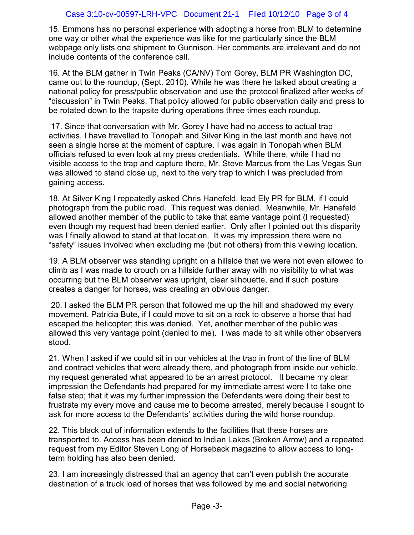## Case 3:10-cv-00597-LRH-VPC Document 21-1 Filed 10/12/10 Page 3 of 4

15. Emmons has no personal experience with adopting a horse from BLM to determine one way or other what the experience was like for me particularly since the BLM webpage only lists one shipment to Gunnison. Her comments are irrelevant and do not include contents of the conference call.

16. At the BLM gather in Twin Peaks (CA/NV) Tom Gorey, BLM PR Washington DC, came out to the roundup, (Sept. 2010). While he was there he talked about creating a national policy for press/public observation and use the protocol finalized after weeks of "discussion" in Twin Peaks. That policy allowed for public observation daily and press to be rotated down to the trapsite during operations three times each roundup.

 17. Since that conversation with Mr. Gorey I have had no access to actual trap activities. I have travelled to Tonopah and Silver King in the last month and have not seen a single horse at the moment of capture. I was again in Tonopah when BLM officials refused to even look at my press credentials. While there, while I had no visible access to the trap and capture there, Mr. Steve Marcus from the Las Vegas Sun was allowed to stand close up, next to the very trap to which I was precluded from gaining access.

18. At Silver King I repeatedly asked Chris Hanefeld, lead Ely PR for BLM, if I could photograph from the public road. This request was denied. Meanwhile, Mr. Hanefeld allowed another member of the public to take that same vantage point (I requested) even though my request had been denied earlier. Only after I pointed out this disparity was I finally allowed to stand at that location. It was my impression there were no "safety" issues involved when excluding me (but not others) from this viewing location.

19. A BLM observer was standing upright on a hillside that we were not even allowed to climb as I was made to crouch on a hillside further away with no visibility to what was occurring but the BLM observer was upright, clear silhouette, and if such posture creates a danger for horses, was creating an obvious danger.

 20. I asked the BLM PR person that followed me up the hill and shadowed my every movement, Patricia Bute, if I could move to sit on a rock to observe a horse that had escaped the helicopter; this was denied. Yet, another member of the public was allowed this very vantage point (denied to me). I was made to sit while other observers stood.

21. When I asked if we could sit in our vehicles at the trap in front of the line of BLM and contract vehicles that were already there, and photograph from inside our vehicle, my request generated what appeared to be an arrest protocol. It became my clear impression the Defendants had prepared for my immediate arrest were I to take one false step; that it was my further impression the Defendants were doing their best to frustrate my every move and cause me to become arrested, merely because I sought to ask for more access to the Defendants' activities during the wild horse roundup.

22. This black out of information extends to the facilities that these horses are transported to. Access has been denied to Indian Lakes (Broken Arrow) and a repeated request from my Editor Steven Long of Horseback magazine to allow access to longterm holding has also been denied.

23. I am increasingly distressed that an agency that can't even publish the accurate destination of a truck load of horses that was followed by me and social networking